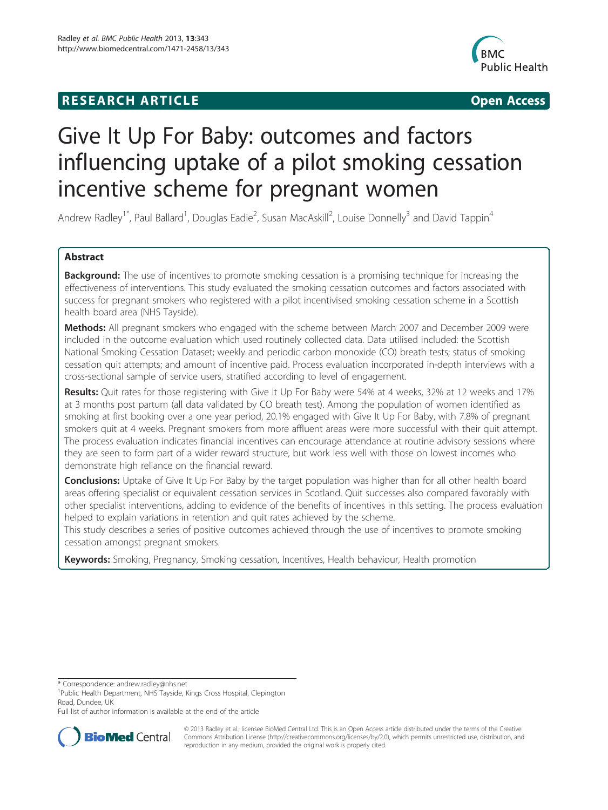## **RESEARCH ARTICLE Example 2014 CONSIDERING CONSIDERING CONSIDERING CONSIDERING CONSIDERING CONSIDERING CONSIDERING CONSIDERING CONSIDERING CONSIDERING CONSIDERING CONSIDERING CONSIDERING CONSIDERING CONSIDERING CONSIDE**



# Give It Up For Baby: outcomes and factors influencing uptake of a pilot smoking cessation incentive scheme for pregnant women

Andrew Radley<sup>1\*</sup>, Paul Ballard<sup>1</sup>, Douglas Eadie<sup>2</sup>, Susan MacAskill<sup>2</sup>, Louise Donnelly<sup>3</sup> and David Tappin<sup>4</sup>

### Abstract

**Background:** The use of incentives to promote smoking cessation is a promising technique for increasing the effectiveness of interventions. This study evaluated the smoking cessation outcomes and factors associated with success for pregnant smokers who registered with a pilot incentivised smoking cessation scheme in a Scottish health board area (NHS Tayside).

Methods: All pregnant smokers who engaged with the scheme between March 2007 and December 2009 were included in the outcome evaluation which used routinely collected data. Data utilised included: the Scottish National Smoking Cessation Dataset; weekly and periodic carbon monoxide (CO) breath tests; status of smoking cessation quit attempts; and amount of incentive paid. Process evaluation incorporated in-depth interviews with a cross-sectional sample of service users, stratified according to level of engagement.

Results: Quit rates for those registering with Give It Up For Baby were 54% at 4 weeks, 32% at 12 weeks and 17% at 3 months post partum (all data validated by CO breath test). Among the population of women identified as smoking at first booking over a one year period, 20.1% engaged with Give It Up For Baby, with 7.8% of pregnant smokers quit at 4 weeks. Pregnant smokers from more affluent areas were more successful with their quit attempt. The process evaluation indicates financial incentives can encourage attendance at routine advisory sessions where they are seen to form part of a wider reward structure, but work less well with those on lowest incomes who demonstrate high reliance on the financial reward.

**Conclusions:** Uptake of Give It Up For Baby by the target population was higher than for all other health board areas offering specialist or equivalent cessation services in Scotland. Quit successes also compared favorably with other specialist interventions, adding to evidence of the benefits of incentives in this setting. The process evaluation helped to explain variations in retention and quit rates achieved by the scheme.

This study describes a series of positive outcomes achieved through the use of incentives to promote smoking cessation amongst pregnant smokers.

Keywords: Smoking, Pregnancy, Smoking cessation, Incentives, Health behaviour, Health promotion

\* Correspondence: [andrew.radley@nhs.net](mailto:andrew.radley@nhs.net) <sup>1</sup>

<sup>1</sup>Public Health Department, NHS Tayside, Kings Cross Hospital, Clepington Road, Dundee, UK

Full list of author information is available at the end of the article



© 2013 Radley et al.; licensee BioMed Central Ltd. This is an Open Access article distributed under the terms of the Creative Commons Attribution License [\(http://creativecommons.org/licenses/by/2.0\)](http://creativecommons.org/licenses/by/2.0), which permits unrestricted use, distribution, and reproduction in any medium, provided the original work is properly cited.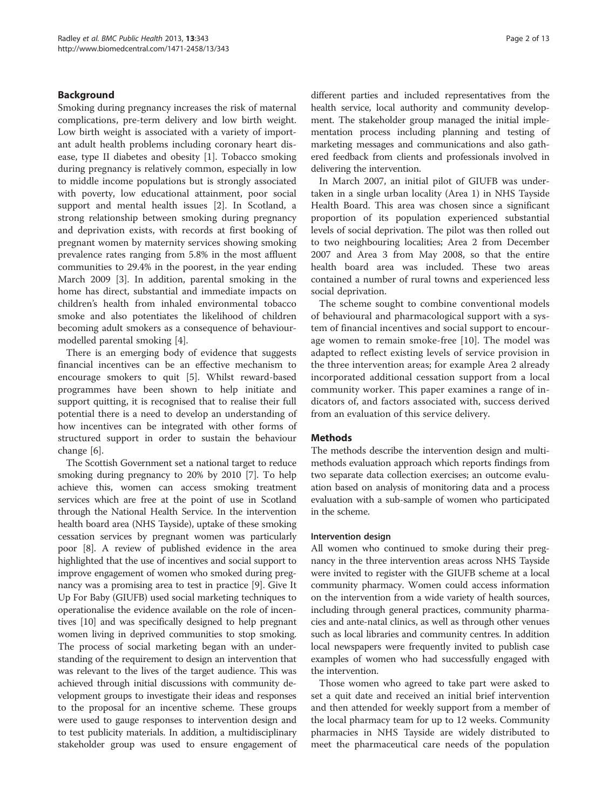### Background

Smoking during pregnancy increases the risk of maternal complications, pre-term delivery and low birth weight. Low birth weight is associated with a variety of important adult health problems including coronary heart disease, type II diabetes and obesity [[1\]](#page-12-0). Tobacco smoking during pregnancy is relatively common, especially in low to middle income populations but is strongly associated with poverty, low educational attainment, poor social support and mental health issues [\[2](#page-12-0)]. In Scotland, a strong relationship between smoking during pregnancy and deprivation exists, with records at first booking of pregnant women by maternity services showing smoking prevalence rates ranging from 5.8% in the most affluent communities to 29.4% in the poorest, in the year ending March 2009 [[3](#page-12-0)]. In addition, parental smoking in the home has direct, substantial and immediate impacts on children's health from inhaled environmental tobacco smoke and also potentiates the likelihood of children becoming adult smokers as a consequence of behaviourmodelled parental smoking [\[4](#page-12-0)].

There is an emerging body of evidence that suggests financial incentives can be an effective mechanism to encourage smokers to quit [\[5](#page-12-0)]. Whilst reward-based programmes have been shown to help initiate and support quitting, it is recognised that to realise their full potential there is a need to develop an understanding of how incentives can be integrated with other forms of structured support in order to sustain the behaviour change [\[6](#page-12-0)].

The Scottish Government set a national target to reduce smoking during pregnancy to 20% by 2010 [[7](#page-12-0)]. To help achieve this, women can access smoking treatment services which are free at the point of use in Scotland through the National Health Service. In the intervention health board area (NHS Tayside), uptake of these smoking cessation services by pregnant women was particularly poor [\[8](#page-12-0)]. A review of published evidence in the area highlighted that the use of incentives and social support to improve engagement of women who smoked during pregnancy was a promising area to test in practice [[9](#page-12-0)]. Give It Up For Baby (GIUFB) used social marketing techniques to operationalise the evidence available on the role of incentives [[10](#page-12-0)] and was specifically designed to help pregnant women living in deprived communities to stop smoking. The process of social marketing began with an understanding of the requirement to design an intervention that was relevant to the lives of the target audience. This was achieved through initial discussions with community development groups to investigate their ideas and responses to the proposal for an incentive scheme. These groups were used to gauge responses to intervention design and to test publicity materials. In addition, a multidisciplinary stakeholder group was used to ensure engagement of

different parties and included representatives from the health service, local authority and community development. The stakeholder group managed the initial implementation process including planning and testing of marketing messages and communications and also gathered feedback from clients and professionals involved in delivering the intervention.

In March 2007, an initial pilot of GIUFB was undertaken in a single urban locality (Area 1) in NHS Tayside Health Board. This area was chosen since a significant proportion of its population experienced substantial levels of social deprivation. The pilot was then rolled out to two neighbouring localities; Area 2 from December 2007 and Area 3 from May 2008, so that the entire health board area was included. These two areas contained a number of rural towns and experienced less social deprivation.

The scheme sought to combine conventional models of behavioural and pharmacological support with a system of financial incentives and social support to encourage women to remain smoke-free [\[10](#page-12-0)]. The model was adapted to reflect existing levels of service provision in the three intervention areas; for example Area 2 already incorporated additional cessation support from a local community worker. This paper examines a range of indicators of, and factors associated with, success derived from an evaluation of this service delivery.

### **Methods**

The methods describe the intervention design and multimethods evaluation approach which reports findings from two separate data collection exercises; an outcome evaluation based on analysis of monitoring data and a process evaluation with a sub-sample of women who participated in the scheme.

### Intervention design

All women who continued to smoke during their pregnancy in the three intervention areas across NHS Tayside were invited to register with the GIUFB scheme at a local community pharmacy. Women could access information on the intervention from a wide variety of health sources, including through general practices, community pharmacies and ante-natal clinics, as well as through other venues such as local libraries and community centres. In addition local newspapers were frequently invited to publish case examples of women who had successfully engaged with the intervention.

Those women who agreed to take part were asked to set a quit date and received an initial brief intervention and then attended for weekly support from a member of the local pharmacy team for up to 12 weeks. Community pharmacies in NHS Tayside are widely distributed to meet the pharmaceutical care needs of the population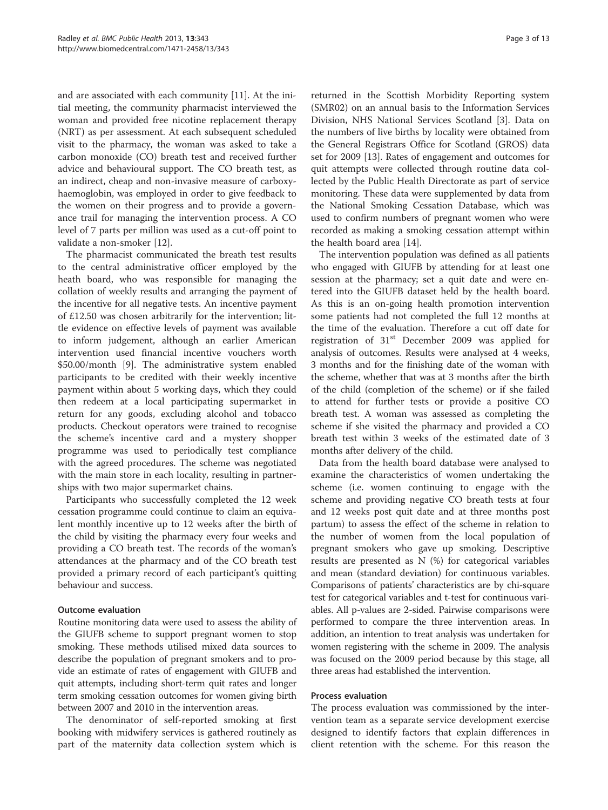and are associated with each community [\[11](#page-12-0)]. At the initial meeting, the community pharmacist interviewed the woman and provided free nicotine replacement therapy (NRT) as per assessment. At each subsequent scheduled visit to the pharmacy, the woman was asked to take a carbon monoxide (CO) breath test and received further advice and behavioural support. The CO breath test, as an indirect, cheap and non-invasive measure of carboxyhaemoglobin, was employed in order to give feedback to the women on their progress and to provide a governance trail for managing the intervention process. A CO level of 7 parts per million was used as a cut-off point to validate a non-smoker [[12\]](#page-12-0).

The pharmacist communicated the breath test results to the central administrative officer employed by the heath board, who was responsible for managing the collation of weekly results and arranging the payment of the incentive for all negative tests. An incentive payment of £12.50 was chosen arbitrarily for the intervention; little evidence on effective levels of payment was available to inform judgement, although an earlier American intervention used financial incentive vouchers worth \$50.00/month [\[9](#page-12-0)]. The administrative system enabled participants to be credited with their weekly incentive payment within about 5 working days, which they could then redeem at a local participating supermarket in return for any goods, excluding alcohol and tobacco products. Checkout operators were trained to recognise the scheme's incentive card and a mystery shopper programme was used to periodically test compliance with the agreed procedures. The scheme was negotiated with the main store in each locality, resulting in partnerships with two major supermarket chains.

Participants who successfully completed the 12 week cessation programme could continue to claim an equivalent monthly incentive up to 12 weeks after the birth of the child by visiting the pharmacy every four weeks and providing a CO breath test. The records of the woman's attendances at the pharmacy and of the CO breath test provided a primary record of each participant's quitting behaviour and success.

### Outcome evaluation

Routine monitoring data were used to assess the ability of the GIUFB scheme to support pregnant women to stop smoking. These methods utilised mixed data sources to describe the population of pregnant smokers and to provide an estimate of rates of engagement with GIUFB and quit attempts, including short-term quit rates and longer term smoking cessation outcomes for women giving birth between 2007 and 2010 in the intervention areas.

The denominator of self-reported smoking at first booking with midwifery services is gathered routinely as part of the maternity data collection system which is

returned in the Scottish Morbidity Reporting system (SMR02) on an annual basis to the Information Services Division, NHS National Services Scotland [[3\]](#page-12-0). Data on the numbers of live births by locality were obtained from the General Registrars Office for Scotland (GROS) data set for 2009 [[13\]](#page-12-0). Rates of engagement and outcomes for quit attempts were collected through routine data collected by the Public Health Directorate as part of service monitoring. These data were supplemented by data from the National Smoking Cessation Database, which was used to confirm numbers of pregnant women who were recorded as making a smoking cessation attempt within the health board area [\[14\]](#page-12-0).

The intervention population was defined as all patients who engaged with GIUFB by attending for at least one session at the pharmacy; set a quit date and were entered into the GIUFB dataset held by the health board. As this is an on-going health promotion intervention some patients had not completed the full 12 months at the time of the evaluation. Therefore a cut off date for registration of 31<sup>st</sup> December 2009 was applied for analysis of outcomes. Results were analysed at 4 weeks, 3 months and for the finishing date of the woman with the scheme, whether that was at 3 months after the birth of the child (completion of the scheme) or if she failed to attend for further tests or provide a positive CO breath test. A woman was assessed as completing the scheme if she visited the pharmacy and provided a CO breath test within 3 weeks of the estimated date of 3 months after delivery of the child.

Data from the health board database were analysed to examine the characteristics of women undertaking the scheme (i.e. women continuing to engage with the scheme and providing negative CO breath tests at four and 12 weeks post quit date and at three months post partum) to assess the effect of the scheme in relation to the number of women from the local population of pregnant smokers who gave up smoking. Descriptive results are presented as N (%) for categorical variables and mean (standard deviation) for continuous variables. Comparisons of patients' characteristics are by chi-square test for categorical variables and t-test for continuous variables. All p-values are 2-sided. Pairwise comparisons were performed to compare the three intervention areas. In addition, an intention to treat analysis was undertaken for women registering with the scheme in 2009. The analysis was focused on the 2009 period because by this stage, all three areas had established the intervention.

### Process evaluation

The process evaluation was commissioned by the intervention team as a separate service development exercise designed to identify factors that explain differences in client retention with the scheme. For this reason the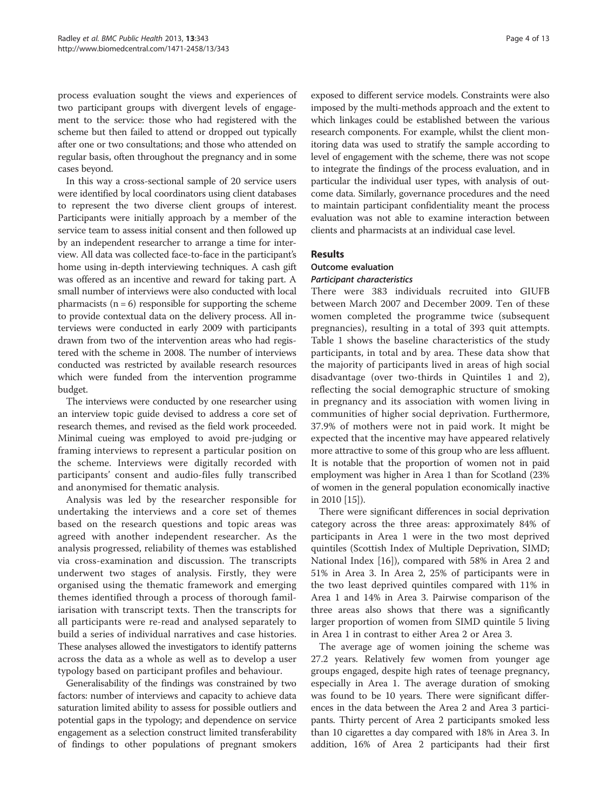process evaluation sought the views and experiences of two participant groups with divergent levels of engagement to the service: those who had registered with the scheme but then failed to attend or dropped out typically after one or two consultations; and those who attended on regular basis, often throughout the pregnancy and in some cases beyond.

In this way a cross-sectional sample of 20 service users were identified by local coordinators using client databases to represent the two diverse client groups of interest. Participants were initially approach by a member of the service team to assess initial consent and then followed up by an independent researcher to arrange a time for interview. All data was collected face-to-face in the participant's home using in-depth interviewing techniques. A cash gift was offered as an incentive and reward for taking part. A small number of interviews were also conducted with local pharmacists  $(n = 6)$  responsible for supporting the scheme to provide contextual data on the delivery process. All interviews were conducted in early 2009 with participants drawn from two of the intervention areas who had registered with the scheme in 2008. The number of interviews conducted was restricted by available research resources which were funded from the intervention programme budget.

The interviews were conducted by one researcher using an interview topic guide devised to address a core set of research themes, and revised as the field work proceeded. Minimal cueing was employed to avoid pre-judging or framing interviews to represent a particular position on the scheme. Interviews were digitally recorded with participants' consent and audio-files fully transcribed and anonymised for thematic analysis.

Analysis was led by the researcher responsible for undertaking the interviews and a core set of themes based on the research questions and topic areas was agreed with another independent researcher. As the analysis progressed, reliability of themes was established via cross-examination and discussion. The transcripts underwent two stages of analysis. Firstly, they were organised using the thematic framework and emerging themes identified through a process of thorough familiarisation with transcript texts. Then the transcripts for all participants were re-read and analysed separately to build a series of individual narratives and case histories. These analyses allowed the investigators to identify patterns across the data as a whole as well as to develop a user typology based on participant profiles and behaviour.

Generalisability of the findings was constrained by two factors: number of interviews and capacity to achieve data saturation limited ability to assess for possible outliers and potential gaps in the typology; and dependence on service engagement as a selection construct limited transferability of findings to other populations of pregnant smokers

exposed to different service models. Constraints were also imposed by the multi-methods approach and the extent to which linkages could be established between the various research components. For example, whilst the client monitoring data was used to stratify the sample according to level of engagement with the scheme, there was not scope to integrate the findings of the process evaluation, and in particular the individual user types, with analysis of outcome data. Similarly, governance procedures and the need to maintain participant confidentiality meant the process evaluation was not able to examine interaction between clients and pharmacists at an individual case level.

### Results

# Outcome evaluation

There were 383 individuals recruited into GIUFB between March 2007 and December 2009. Ten of these women completed the programme twice (subsequent pregnancies), resulting in a total of 393 quit attempts. Table [1](#page-4-0) shows the baseline characteristics of the study participants, in total and by area. These data show that the majority of participants lived in areas of high social disadvantage (over two-thirds in Quintiles 1 and 2), reflecting the social demographic structure of smoking in pregnancy and its association with women living in communities of higher social deprivation. Furthermore, 37.9% of mothers were not in paid work. It might be expected that the incentive may have appeared relatively more attractive to some of this group who are less affluent. It is notable that the proportion of women not in paid employment was higher in Area 1 than for Scotland (23% of women in the general population economically inactive in 2010 [\[15\]](#page-12-0)).

There were significant differences in social deprivation category across the three areas: approximately 84% of participants in Area 1 were in the two most deprived quintiles (Scottish Index of Multiple Deprivation, SIMD; National Index [\[16\]](#page-12-0)), compared with 58% in Area 2 and 51% in Area 3. In Area 2, 25% of participants were in the two least deprived quintiles compared with 11% in Area 1 and 14% in Area 3. Pairwise comparison of the three areas also shows that there was a significantly larger proportion of women from SIMD quintile 5 living in Area 1 in contrast to either Area 2 or Area 3.

The average age of women joining the scheme was 27.2 years. Relatively few women from younger age groups engaged, despite high rates of teenage pregnancy, especially in Area 1. The average duration of smoking was found to be 10 years. There were significant differences in the data between the Area 2 and Area 3 participants. Thirty percent of Area 2 participants smoked less than 10 cigarettes a day compared with 18% in Area 3. In addition, 16% of Area 2 participants had their first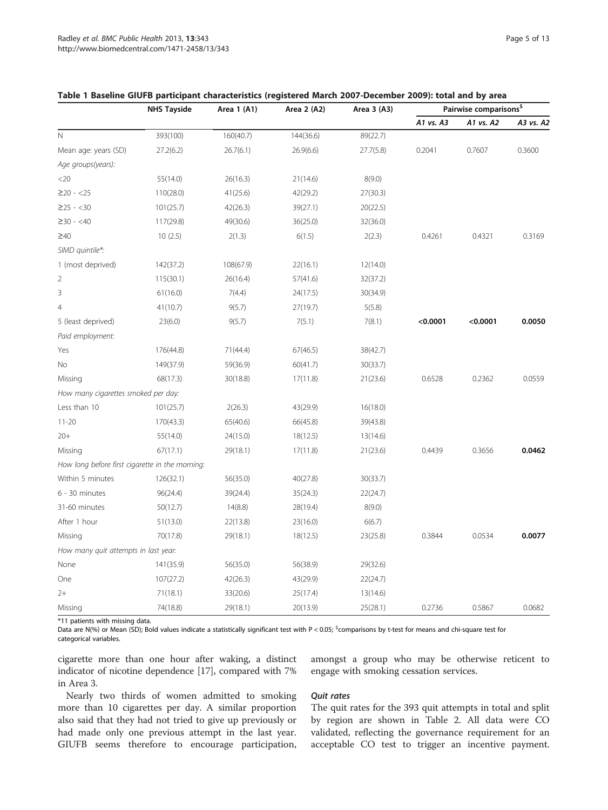|                                                 | <b>NHS Tayside</b> | Area 1 (A1) | Area 2 (A2) | Area 3 (A3) | Pairwise comparisons <sup>\$</sup> |           |           |  |
|-------------------------------------------------|--------------------|-------------|-------------|-------------|------------------------------------|-----------|-----------|--|
|                                                 |                    |             |             |             | A1 vs. A3                          | A1 vs. A2 | A3 vs. A2 |  |
| $\hbox{N}$                                      | 393(100)           | 160(40.7)   | 144(36.6)   | 89(22.7)    |                                    |           |           |  |
| Mean age: years (SD)                            | 27.2(6.2)          | 26.7(6.1)   | 26.9(6.6)   | 27.7(5.8)   | 0.2041                             | 0.7607    | 0.3600    |  |
| Age groups(years):                              |                    |             |             |             |                                    |           |           |  |
| <20                                             | 55(14.0)           | 26(16.3)    | 21(14.6)    | 8(9.0)      |                                    |           |           |  |
| $\geq$ 20 - <25                                 | 110(28.0)          | 41(25.6)    | 42(29.2)    | 27(30.3)    |                                    |           |           |  |
| $\geq$ 25 - <30                                 | 101(25.7)          | 42(26.3)    | 39(27.1)    | 20(22.5)    |                                    |           |           |  |
| $\geq$ 30 - <40                                 | 117(29.8)          | 49(30.6)    | 36(25.0)    | 32(36.0)    |                                    |           |           |  |
| $\geq 40$                                       | 10(2.5)            | 2(1.3)      | 6(1.5)      | 2(2.3)      | 0.4261                             | 0.4321    | 0.3169    |  |
| SIMD quintile*:                                 |                    |             |             |             |                                    |           |           |  |
| 1 (most deprived)                               | 142(37.2)          | 108(67.9)   | 22(16.1)    | 12(14.0)    |                                    |           |           |  |
| $\overline{2}$                                  | 115(30.1)          | 26(16.4)    | 57(41.6)    | 32(37.2)    |                                    |           |           |  |
| $\mathsf 3$                                     | 61(16.0)           | 7(4.4)      | 24(17.5)    | 30(34.9)    |                                    |           |           |  |
| $\overline{4}$                                  | 41(10.7)           | 9(5.7)      | 27(19.7)    | 5(5.8)      |                                    |           |           |  |
| 5 (least deprived)                              | 23(6.0)            | 9(5.7)      | 7(5.1)      | 7(8.1)      | < 0.0001                           | < 0.0001  | 0.0050    |  |
| Paid employment:                                |                    |             |             |             |                                    |           |           |  |
| Yes                                             | 176(44.8)          | 71(44.4)    | 67(46.5)    | 38(42.7)    |                                    |           |           |  |
| No                                              | 149(37.9)          | 59(36.9)    | 60(41.7)    | 30(33.7)    |                                    |           |           |  |
| Missing                                         | 68(17.3)           | 30(18.8)    | 17(11.8)    | 21(23.6)    | 0.6528                             | 0.2362    | 0.0559    |  |
| How many cigarettes smoked per day:             |                    |             |             |             |                                    |           |           |  |
| Less than 10                                    | 101(25.7)          | 2(26.3)     | 43(29.9)    | 16(18.0)    |                                    |           |           |  |
| $11 - 20$                                       | 170(43.3)          | 65(40.6)    | 66(45.8)    | 39(43.8)    |                                    |           |           |  |
| $20+$                                           | 55(14.0)           | 24(15.0)    | 18(12.5)    | 13(14.6)    |                                    |           |           |  |
| Missing                                         | 67(17.1)           | 29(18.1)    | 17(11.8)    | 21(23.6)    | 0.4439                             | 0.3656    | 0.0462    |  |
| How long before first cigarette in the morning: |                    |             |             |             |                                    |           |           |  |
| Within 5 minutes                                | 126(32.1)          | 56(35.0)    | 40(27.8)    | 30(33.7)    |                                    |           |           |  |
| 6 - 30 minutes                                  | 96(24.4)           | 39(24.4)    | 35(24.3)    | 22(24.7)    |                                    |           |           |  |
| 31-60 minutes                                   | 50(12.7)           | 14(8.8)     | 28(19.4)    | 8(9.0)      |                                    |           |           |  |
| After 1 hour                                    | 51(13.0)           | 22(13.8)    | 23(16.0)    | 6(6.7)      |                                    |           |           |  |
| Missing                                         | 70(17.8)           | 29(18.1)    | 18(12.5)    | 23(25.8)    | 0.3844                             | 0.0534    | 0.0077    |  |
| How many quit attempts in last year:            |                    |             |             |             |                                    |           |           |  |
| None                                            | 141(35.9)          | 56(35.0)    | 56(38.9)    | 29(32.6)    |                                    |           |           |  |
| One                                             | 107(27.2)          | 42(26.3)    | 43(29.9)    | 22(24.7)    |                                    |           |           |  |
| $2+$                                            | 71(18.1)           | 33(20.6)    | 25(17.4)    | 13(14.6)    |                                    |           |           |  |
| Missing                                         | 74(18.8)           | 29(18.1)    | 20(13.9)    | 25(28.1)    | 0.2736                             | 0.5867    | 0.0682    |  |

### <span id="page-4-0"></span>Table 1 Baseline GIUFB participant characteristics (registered March 2007-December 2009): total and by area

\*11 patients with missing data.

Data are N(%) or Mean (SD); Bold values indicate a statistically significant test with P < 0.05; <sup>s</sup>comparisons by t-test for means and chi-square test for categorical variables.

cigarette more than one hour after waking, a distinct indicator of nicotine dependence [[17](#page-12-0)], compared with 7% in Area 3.

amongst a group who may be otherwise reticent to engage with smoking cessation services.

Nearly two thirds of women admitted to smoking more than 10 cigarettes per day. A similar proportion also said that they had not tried to give up previously or had made only one previous attempt in the last year. GIUFB seems therefore to encourage participation,

The quit rates for the 393 quit attempts in total and split by region are shown in Table [2.](#page-5-0) All data were CO validated, reflecting the governance requirement for an acceptable CO test to trigger an incentive payment.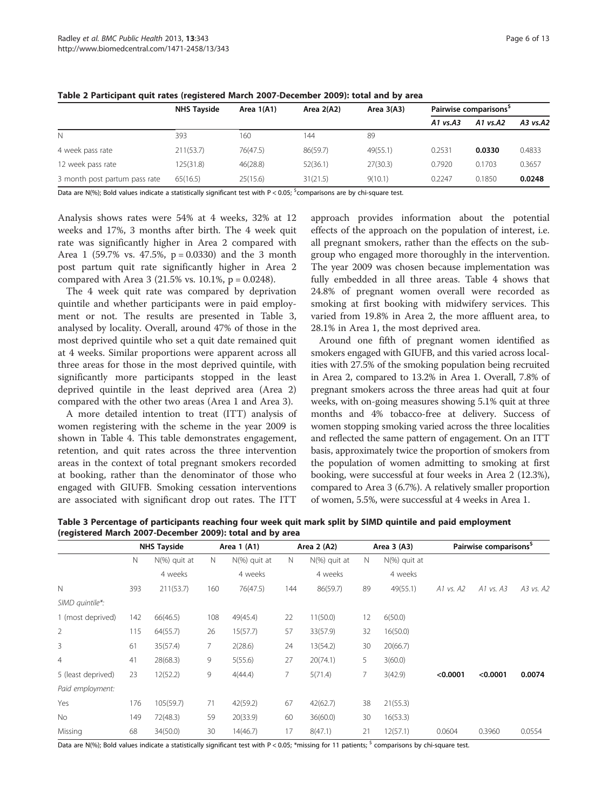|                               | <b>NHS Tayside</b> | Area $1(A1)$ | Area $2(A2)$ | Area $3(A3)$ | Pairwise comparisons <sup>&gt;</sup> |          |               |
|-------------------------------|--------------------|--------------|--------------|--------------|--------------------------------------|----------|---------------|
|                               |                    |              |              |              | $A1$ vs. $A3$                        | A1 vs.A2 | $A3$ vs. $A2$ |
| N                             | 393                | 160          | 144          | 89           |                                      |          |               |
| 4 week pass rate              | 211(53.7)          | 76(47.5)     | 86(59.7)     | 49(55.1)     | 0.2531                               | 0.0330   | 0.4833        |
| 12 week pass rate             | 125(31.8)          | 46(28.8)     | 52(36.1)     | 27(30.3)     | 0.7920                               | 0.1703   | 0.3657        |
| 3 month post partum pass rate | 65(16.5)           | 25(15.6)     | 31(21.5)     | 9(10.1)      | 0.2247                               | 0.1850   | 0.0248        |

<span id="page-5-0"></span>Table 2 Participant quit rates (registered March 2007-December 2009): total and by area

Data are N(%); Bold values indicate a statistically significant test with P < 0.05; <sup>\$</sup>comparisons are by chi-square test.

Analysis shows rates were 54% at 4 weeks, 32% at 12 weeks and 17%, 3 months after birth. The 4 week quit rate was significantly higher in Area 2 compared with Area 1 (59.7% vs. 47.5%,  $p = 0.0330$ ) and the 3 month post partum quit rate significantly higher in Area 2 compared with Area 3 (21.5% vs. 10.1%,  $p = 0.0248$ ).

The 4 week quit rate was compared by deprivation quintile and whether participants were in paid employment or not. The results are presented in Table 3, analysed by locality. Overall, around 47% of those in the most deprived quintile who set a quit date remained quit at 4 weeks. Similar proportions were apparent across all three areas for those in the most deprived quintile, with significantly more participants stopped in the least deprived quintile in the least deprived area (Area 2) compared with the other two areas (Area 1 and Area 3).

A more detailed intention to treat (ITT) analysis of women registering with the scheme in the year 2009 is shown in Table [4](#page-6-0). This table demonstrates engagement, retention, and quit rates across the three intervention areas in the context of total pregnant smokers recorded at booking, rather than the denominator of those who engaged with GIUFB. Smoking cessation interventions are associated with significant drop out rates. The ITT

approach provides information about the potential effects of the approach on the population of interest, i.e. all pregnant smokers, rather than the effects on the subgroup who engaged more thoroughly in the intervention. The year 2009 was chosen because implementation was fully embedded in all three areas. Table [4](#page-6-0) shows that 24.8% of pregnant women overall were recorded as smoking at first booking with midwifery services. This varied from 19.8% in Area 2, the more affluent area, to 28.1% in Area 1, the most deprived area.

Around one fifth of pregnant women identified as smokers engaged with GIUFB, and this varied across localities with 27.5% of the smoking population being recruited in Area 2, compared to 13.2% in Area 1. Overall, 7.8% of pregnant smokers across the three areas had quit at four weeks, with on-going measures showing 5.1% quit at three months and 4% tobacco-free at delivery. Success of women stopping smoking varied across the three localities and reflected the same pattern of engagement. On an ITT basis, approximately twice the proportion of smokers from the population of women admitting to smoking at first booking, were successful at four weeks in Area 2 (12.3%), compared to Area 3 (6.7%). A relatively smaller proportion of women, 5.5%, were successful at 4 weeks in Area 1.

Table 3 Percentage of participants reaching four week quit mark split by SIMD quintile and paid employment (registered March 2007-December 2009): total and by area

|                    | <b>NHS Tayside</b> |                 | Area 1 (A1) |                 | Area 2 (A2) |                 | Area 3 (A3) |                 | Pairwise comparisons <sup>\$</sup> |           |           |
|--------------------|--------------------|-----------------|-------------|-----------------|-------------|-----------------|-------------|-----------------|------------------------------------|-----------|-----------|
|                    | N                  | $N(\%)$ quit at | Ν           | $N(\%)$ quit at | N           | $N(\%)$ quit at | N           | $N(\%)$ quit at |                                    |           |           |
|                    |                    | 4 weeks         |             | 4 weeks         |             | 4 weeks         |             | 4 weeks         |                                    |           |           |
| N                  | 393                | 211(53.7)       | 160         | 76(47.5)        | 144         | 86(59.7)        | 89          | 49(55.1)        | A1 vs. A2                          | A1 vs. A3 | A3 vs. A2 |
| SIMD quintile*:    |                    |                 |             |                 |             |                 |             |                 |                                    |           |           |
| 1 (most deprived)  | 142                | 66(46.5)        | 108         | 49(45.4)        | 22          | 11(50.0)        | 12          | 6(50.0)         |                                    |           |           |
| $\overline{2}$     | 115                | 64(55.7)        | 26          | 15(57.7)        | 57          | 33(57.9)        | 32          | 16(50.0)        |                                    |           |           |
| 3                  | 61                 | 35(57.4)        | 7           | 2(28.6)         | 24          | 13(54.2)        | 30          | 20(66.7)        |                                    |           |           |
| 4                  | 41                 | 28(68.3)        | 9           | 5(55.6)         | 27          | 20(74.1)        | 5           | 3(60.0)         |                                    |           |           |
| 5 (least deprived) | 23                 | 12(52.2)        | 9           | 4(44.4)         | 7           | 5(71.4)         | 7           | 3(42.9)         | < 0.0001                           | < 0.0001  | 0.0074    |
| Paid employment:   |                    |                 |             |                 |             |                 |             |                 |                                    |           |           |
| Yes                | 176                | 105(59.7)       | 71          | 42(59.2)        | 67          | 42(62.7)        | 38          | 21(55.3)        |                                    |           |           |
| No.                | 149                | 72(48.3)        | 59          | 20(33.9)        | 60          | 36(60.0)        | 30          | 16(53.3)        |                                    |           |           |
| Missing            | 68                 | 34(50.0)        | 30          | 14(46.7)        | 17          | 8(47.1)         | 21          | 12(57.1)        | 0.0604                             | 0.3960    | 0.0554    |

Data are N(%); Bold values indicate a statistically significant test with P < 0.05; \*missing for 11 patients;  $\frac{1}{2}$  comparisons by chi-square test.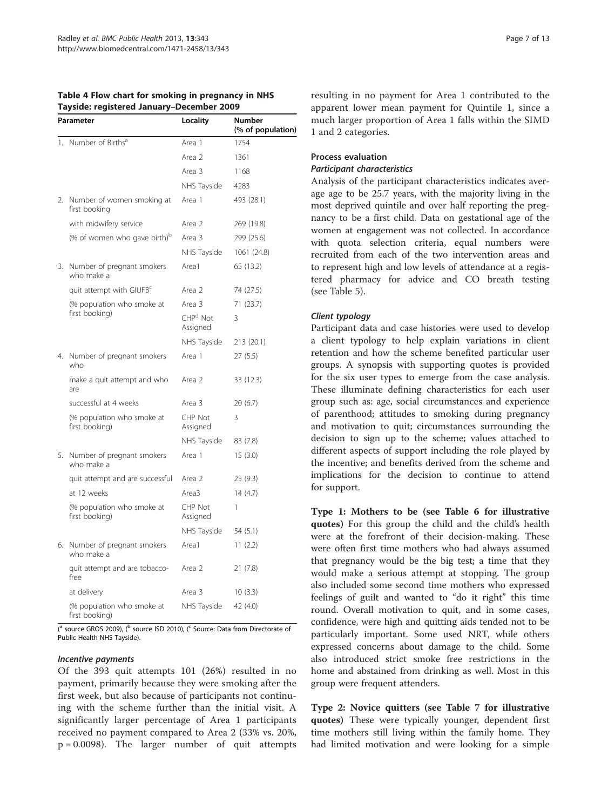<span id="page-6-0"></span>Table 4 Flow chart for smoking in pregnancy in NHS Tayside: registered January–December 2009

|    | Parameter                                    | Locality                         | <b>Number</b><br>(% of population) |  |  |
|----|----------------------------------------------|----------------------------------|------------------------------------|--|--|
| 1. | Number of Births <sup>a</sup>                | Area 1                           | 1754                               |  |  |
|    |                                              | Area 2                           | 1361                               |  |  |
|    |                                              | Area 3                           | 1168                               |  |  |
|    |                                              | NHS Tayside                      | 4283                               |  |  |
| 2. | Number of women smoking at<br>first booking  | Area 1                           | 493 (28.1)                         |  |  |
|    | with midwifery service                       | Area 2                           | 269 (19.8)                         |  |  |
|    | (% of women who gave birth) <sup>D</sup>     | Area 3                           | 299 (25.6)                         |  |  |
|    |                                              | NHS Tayside                      | 1061 (24.8)                        |  |  |
| 3. | Number of pregnant smokers<br>who make a     | Area1                            | 65 (13.2)                          |  |  |
|    | quit attempt with GIUFB                      | Area 2                           | 74 (27.5)                          |  |  |
|    | (% population who smoke at                   | Area 3                           | 71 (23.7)                          |  |  |
|    | first booking)                               | CHP <sup>d</sup> Not<br>Assigned | 3                                  |  |  |
|    |                                              | NHS Tayside                      | 213 (20.1)                         |  |  |
| 4. | Number of pregnant smokers<br>who            | Area 1                           | 27 (5.5)                           |  |  |
|    | make a quit attempt and who<br>are           | Area 2                           | 33 (12.3)                          |  |  |
|    | successful at 4 weeks                        | Area 3                           | 20 (6.7)                           |  |  |
|    | (% population who smoke at<br>first booking) | CHP Not<br>Assigned              | 3                                  |  |  |
|    |                                              | NHS Tayside                      | 83 (7.8)                           |  |  |
| 5. | Number of pregnant smokers<br>who make a     | Area 1                           | 15(3.0)                            |  |  |
|    | quit attempt and are successful              | Area 2                           | 25 (9.3)                           |  |  |
|    | at 12 weeks                                  | Area3                            | 14(4.7)                            |  |  |
|    | (% population who smoke at<br>first booking) | CHP Not<br>Assigned              | 1                                  |  |  |
|    |                                              | NHS Tayside                      | 54 (5.1)                           |  |  |
| 6. | Number of pregnant smokers<br>who make a     | Area1                            | 11(2.2)                            |  |  |
|    | quit attempt and are tobacco-<br>free        | Area 2                           | 21 (7.8)                           |  |  |
|    | at delivery                                  | Area 3                           | 10(3.3)                            |  |  |
|    | (% population who smoke at<br>first booking) | NHS Tayside                      | 42 (4.0)                           |  |  |

(<sup>a</sup> source GROS 2009), (<sup>b</sup> source ISD 2010), (<sup>c</sup> Source: Data from Directorate of Public Health NHS Tayside).

Of the 393 quit attempts 101 (26%) resulted in no payment, primarily because they were smoking after the first week, but also because of participants not continuing with the scheme further than the initial visit. A significantly larger percentage of Area 1 participants received no payment compared to Area 2 (33% vs. 20%, p = 0.0098). The larger number of quit attempts resulting in no payment for Area 1 contributed to the apparent lower mean payment for Quintile 1, since a much larger proportion of Area 1 falls within the SIMD 1 and 2 categories.

### Process evaluation

Analysis of the participant characteristics indicates average age to be 25.7 years, with the majority living in the most deprived quintile and over half reporting the pregnancy to be a first child. Data on gestational age of the women at engagement was not collected. In accordance with quota selection criteria, equal numbers were recruited from each of the two intervention areas and to represent high and low levels of attendance at a registered pharmacy for advice and CO breath testing (see Table [5\)](#page-7-0).

Participant data and case histories were used to develop a client typology to help explain variations in client retention and how the scheme benefited particular user groups. A synopsis with supporting quotes is provided for the six user types to emerge from the case analysis. These illuminate defining characteristics for each user group such as: age, social circumstances and experience of parenthood; attitudes to smoking during pregnancy and motivation to quit; circumstances surrounding the decision to sign up to the scheme; values attached to different aspects of support including the role played by the incentive; and benefits derived from the scheme and implications for the decision to continue to attend for support.

Type 1: Mothers to be (see Table [6](#page-7-0) for illustrative quotes) For this group the child and the child's health were at the forefront of their decision-making. These were often first time mothers who had always assumed that pregnancy would be the big test; a time that they would make a serious attempt at stopping. The group also included some second time mothers who expressed feelings of guilt and wanted to "do it right" this time round. Overall motivation to quit, and in some cases, confidence, were high and quitting aids tended not to be particularly important. Some used NRT, while others expressed concerns about damage to the child. Some also introduced strict smoke free restrictions in the home and abstained from drinking as well. Most in this group were frequent attenders.

Type 2: Novice quitters (see Table [7](#page-8-0) for illustrative quotes) These were typically younger, dependent first time mothers still living within the family home. They had limited motivation and were looking for a simple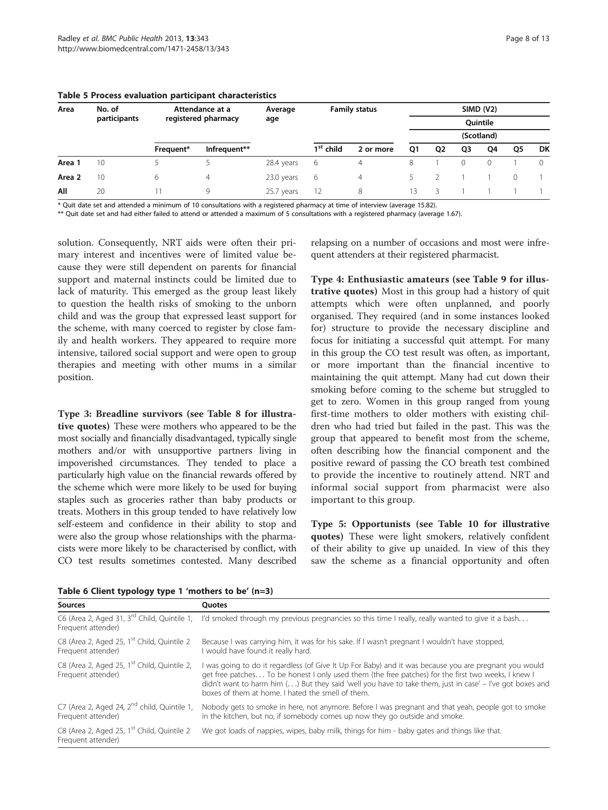| Area   | No. of       | Attendance at a<br>registered pharmacy |              | Average    | <b>Family status</b> | SIMD (V2)  |          |                |          |    |    |    |
|--------|--------------|----------------------------------------|--------------|------------|----------------------|------------|----------|----------------|----------|----|----|----|
|        | participants |                                        |              | age        |                      |            | Ouintile |                |          |    |    |    |
|        |              |                                        |              |            |                      | (Scotland) |          |                |          |    |    |    |
|        |              | Frequent*                              | Infrequent** |            | $1st$ child          | 2 or more  | Q1       | Q <sub>2</sub> | Q3       | Q4 | Q5 | DK |
| Area 1 | 10           |                                        |              | 28.4 years | 6                    | 4          | 8        |                | $\Omega$ | 0  |    |    |
| Area 2 | 10           | 6                                      | 4            | 23.0 years | 6                    | 4          |          |                |          |    |    |    |
| All    | 20           |                                        | 9            | 25.7 years |                      | 8          | 13       |                |          |    |    |    |

### <span id="page-7-0"></span>Table 5 Process evaluation participant characteristics

\* Quit date set and attended a minimum of 10 consultations with a registered pharmacy at time of interview (average 15.82).

\*\* Quit date set and had either failed to attend or attended a maximum of 5 consultations with a registered pharmacy (average 1.67).

solution. Consequently, NRT aids were often their primary interest and incentives were of limited value because they were still dependent on parents for financial support and maternal instincts could be limited due to lack of maturity. This emerged as the group least likely to question the health risks of smoking to the unborn child and was the group that expressed least support for the scheme, with many coerced to register by close family and health workers. They appeared to require more intensive, tailored social support and were open to group therapies and meeting with other mums in a similar position.

Type 3: Breadline survivors (see Table [8](#page-8-0) for illustrative quotes) These were mothers who appeared to be the most socially and financially disadvantaged, typically single mothers and/or with unsupportive partners living in impoverished circumstances. They tended to place a particularly high value on the financial rewards offered by the scheme which were more likely to be used for buying staples such as groceries rather than baby products or treats. Mothers in this group tended to have relatively low self-esteem and confidence in their ability to stop and were also the group whose relationships with the pharmacists were more likely to be characterised by conflict, with CO test results sometimes contested. Many described relapsing on a number of occasions and most were infrequent attenders at their registered pharmacist.

Type 4: Enthusiastic amateurs (see Table [9](#page-9-0) for illustrative quotes) Most in this group had a history of quit attempts which were often unplanned, and poorly organised. They required (and in some instances looked for) structure to provide the necessary discipline and focus for initiating a successful quit attempt. For many in this group the CO test result was often, as important, or more important than the financial incentive to maintaining the quit attempt. Many had cut down their smoking before coming to the scheme but struggled to get to zero. Women in this group ranged from young first-time mothers to older mothers with existing children who had tried but failed in the past. This was the group that appeared to benefit most from the scheme, often describing how the financial component and the positive reward of passing the CO breath test combined to provide the incentive to routinely attend. NRT and informal social support from pharmacist were also important to this group.

Type 5: Opportunists (see Table [10](#page-9-0) for illustrative quotes) These were light smokers, relatively confident of their ability to give up unaided. In view of this they saw the scheme as a financial opportunity and often

Table 6 Client typology type 1 'mothers to be' (n=3)

| <b>Sources</b>                                                                | <b>Ouotes</b>                                                                                                                                                                                                                                                                                                                                                                        |
|-------------------------------------------------------------------------------|--------------------------------------------------------------------------------------------------------------------------------------------------------------------------------------------------------------------------------------------------------------------------------------------------------------------------------------------------------------------------------------|
| Frequent attender)                                                            | C6 (Area 2, Aged 31, 3 <sup>rd</sup> Child, Quintile 1, I'd smoked through my previous pregnancies so this time I really, really wanted to give it a bash                                                                                                                                                                                                                            |
| C8 (Area 2, Aged 25, 1 <sup>st</sup> Child, Quintile 2<br>Frequent attender)  | Because I was carrying him, it was for his sake. If I wasn't pregnant I wouldn't have stopped,<br>would have found it really hard.                                                                                                                                                                                                                                                   |
| C8 (Area 2, Aged 25, 1 <sup>st</sup> Child, Quintile 2,<br>Frequent attender) | was going to do it regardless (of Give It Up For Baby) and it was because you are pregnant you would<br>get free patches To be honest I only used them (the free patches) for the first two weeks, I knew I<br>didn't want to harm him $(\ldots)$ But they said 'well you have to take them, just in case' – I've got boxes and<br>boxes of them at home. I hated the smell of them. |
| C7 (Area 2, Aged 24, 2 <sup>nd</sup> child, Quintile 1,<br>Frequent attender) | Nobody gets to smoke in here, not anymore. Before I was pregnant and that yeah, people got to smoke<br>in the kitchen, but no, if somebody comes up now they go outside and smoke.                                                                                                                                                                                                   |
| C8 (Area 2, Aged 25, 1 <sup>st</sup> Child, Quintile 2<br>Frequent attender)  | We got loads of nappies, wipes, baby milk, things for him - baby gates and things like that.                                                                                                                                                                                                                                                                                         |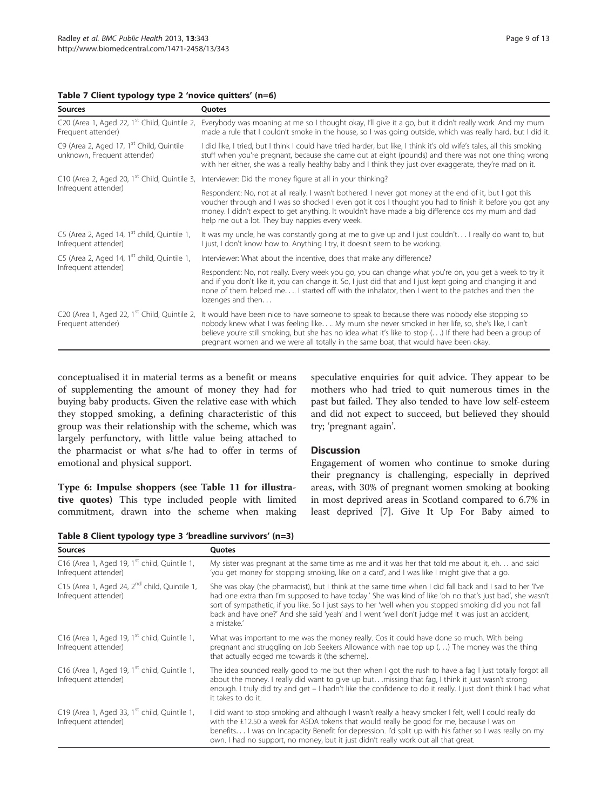### <span id="page-8-0"></span>Table 7 Client typology type 2 'novice quitters' (n=6)

| <b>Sources</b>                                                                      | <b>Ouotes</b>                                                                                                                                                                                                                                                                                                                                                                                                                                                 |  |  |  |
|-------------------------------------------------------------------------------------|---------------------------------------------------------------------------------------------------------------------------------------------------------------------------------------------------------------------------------------------------------------------------------------------------------------------------------------------------------------------------------------------------------------------------------------------------------------|--|--|--|
| Frequent attender)                                                                  | C20 (Area 1, Aged 22, 1 <sup>st</sup> Child, Quintile 2, Everybody was moaning at me so I thought okay, I'll give it a go, but it didn't really work. And my mum<br>made a rule that I couldn't smoke in the house, so I was going outside, which was really hard, but I did it.                                                                                                                                                                              |  |  |  |
| C9 (Area 2, Aged 17, 1 <sup>st</sup> Child, Quintile<br>unknown, Frequent attender) | I did like, I tried, but I think I could have tried harder, but like, I think it's old wife's tales, all this smoking<br>stuff when you're pregnant, because she came out at eight (pounds) and there was not one thing wrong<br>with her either, she was a really healthy baby and I think they just over exaggerate, they're mad on it.                                                                                                                     |  |  |  |
|                                                                                     | C10 (Area 2, Aged 20, 1 <sup>st</sup> Child, Quintile 3, Interviewer: Did the money figure at all in your thinking?                                                                                                                                                                                                                                                                                                                                           |  |  |  |
| Infrequent attender)                                                                | Respondent: No, not at all really. I wasn't bothered. I never got money at the end of it, but I got this<br>voucher through and I was so shocked I even got it cos I thought you had to finish it before you got any<br>money. I didn't expect to get anything. It wouldn't have made a big difference cos my mum and dad<br>help me out a lot. They buy nappies every week.                                                                                  |  |  |  |
| C5 (Area 2, Aged 14, 1 <sup>st</sup> child, Quintile 1,<br>Infrequent attender)     | It was my uncle, he was constantly going at me to give up and I just couldn't I really do want to, but<br>I just, I don't know how to. Anything I try, it doesn't seem to be working.                                                                                                                                                                                                                                                                         |  |  |  |
| C5 (Area 2, Aged 14, 1 <sup>st</sup> child, Quintile 1,                             | Interviewer: What about the incentive, does that make any difference?                                                                                                                                                                                                                                                                                                                                                                                         |  |  |  |
| Infrequent attender)                                                                | Respondent: No, not really. Every week you go, you can change what you're on, you get a week to try it<br>and if you don't like it, you can change it. So, I just did that and I just kept going and changing it and<br>none of them helped me I started off with the inhalator, then I went to the patches and then the<br>lozenges and then                                                                                                                 |  |  |  |
| Frequent attender)                                                                  | C20 (Area 1, Aged 22, 1 <sup>st</sup> Child, Quintile 2, It would have been nice to have someone to speak to because there was nobody else stopping so<br>nobody knew what I was feeling like My mum she never smoked in her life, so, she's like, I can't<br>believe you're still smoking, but she has no idea what it's like to stop () If there had been a group of<br>pregnant women and we were all totally in the same boat, that would have been okay. |  |  |  |

conceptualised it in material terms as a benefit or means of supplementing the amount of money they had for buying baby products. Given the relative ease with which they stopped smoking, a defining characteristic of this group was their relationship with the scheme, which was largely perfunctory, with little value being attached to the pharmacist or what s/he had to offer in terms of emotional and physical support.

Type 6: Impulse shoppers (see Table [11](#page-10-0) for illustrative quotes) This type included people with limited commitment, drawn into the scheme when making

speculative enquiries for quit advice. They appear to be mothers who had tried to quit numerous times in the past but failed. They also tended to have low self-esteem and did not expect to succeed, but believed they should try; 'pregnant again'.

### **Discussion**

Engagement of women who continue to smoke during their pregnancy is challenging, especially in deprived areas, with 30% of pregnant women smoking at booking in most deprived areas in Scotland compared to 6.7% in least deprived [\[7](#page-12-0)]. Give It Up For Baby aimed to

Table 8 Client typology type 3 'breadline survivors' (n=3)

| <b>Sources</b>                                                                        | Quotes                                                                                                                                                                                                                                                                                                                                                                                                                                              |
|---------------------------------------------------------------------------------------|-----------------------------------------------------------------------------------------------------------------------------------------------------------------------------------------------------------------------------------------------------------------------------------------------------------------------------------------------------------------------------------------------------------------------------------------------------|
| C16 (Area 1, Aged 19, 1 <sup>st</sup> child, Quintile 1,<br>Infrequent attender)      | My sister was pregnant at the same time as me and it was her that told me about it, eh and said<br>'you get money for stopping smoking, like on a card', and I was like I might give that a go.                                                                                                                                                                                                                                                     |
| C15 (Area 1, Aged 24, 2 <sup>nd</sup> child, Quintile 1,<br>Infrequent attender)      | She was okay (the pharmacist), but I think at the same time when I did fall back and I said to her 'I've<br>had one extra than I'm supposed to have today.' She was kind of like 'oh no that's just bad', she wasn't<br>sort of sympathetic, if you like. So I just says to her 'well when you stopped smoking did you not fall<br>back and have one?' And she said 'yeah' and I went 'well don't judge me! It was just an accident,<br>a mistake.' |
| C <sub>16</sub> (Area 1, Aged 19, $1^{st}$ child, Quintile 1,<br>Infrequent attender) | What was important to me was the money really. Cos it could have done so much. With being<br>pregnant and struggling on Job Seekers Allowance with nae top up () The money was the thing<br>that actually edged me towards it (the scheme).                                                                                                                                                                                                         |
| C16 (Area 1, Aged 19, 1 <sup>st</sup> child, Quintile 1,<br>Infrequent attender)      | The idea sounded really good to me but then when I got the rush to have a fag I just totally forgot all<br>about the money. I really did want to give up but missing that fag, I think it just wasn't strong<br>enough. I truly did try and get - I hadn't like the confidence to do it really. I just don't think I had what<br>it takes to do it.                                                                                                 |
| C19 (Area 1, Aged 33, 1 <sup>st</sup> child, Quintile 1,<br>Infrequent attender)      | I did want to stop smoking and although I wasn't really a heavy smoker I felt, well I could really do<br>with the £12.50 a week for ASDA tokens that would really be good for me, because I was on<br>benefits I was on Incapacity Benefit for depression. I'd split up with his father so I was really on my<br>own. I had no support, no money, but it just didn't really work out all that great.                                                |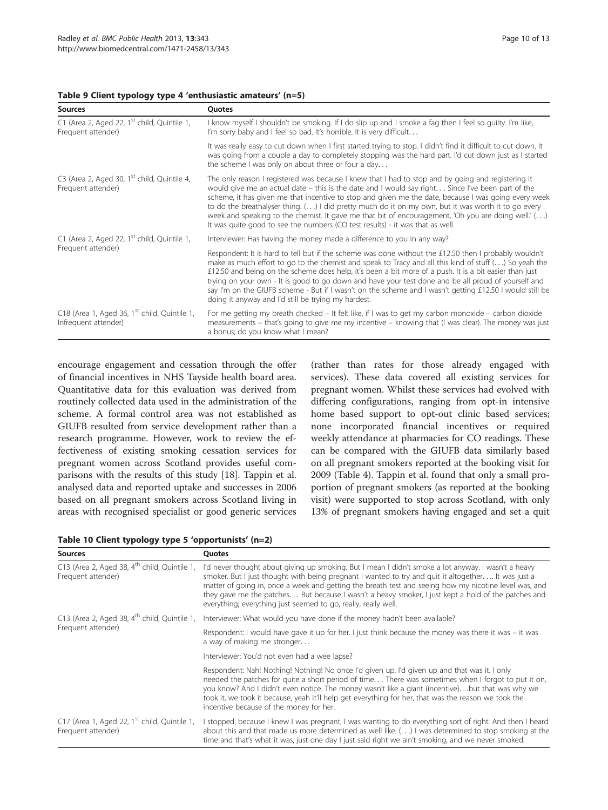### <span id="page-9-0"></span>Table 9 Client typology type 4 'enthusiastic amateurs' (n=5)

| Sources                                                                          | <b>Ouotes</b>                                                                                                                                                                                                                                                                                                                                                                                                                                                                                                                                                                                                                    |  |  |  |
|----------------------------------------------------------------------------------|----------------------------------------------------------------------------------------------------------------------------------------------------------------------------------------------------------------------------------------------------------------------------------------------------------------------------------------------------------------------------------------------------------------------------------------------------------------------------------------------------------------------------------------------------------------------------------------------------------------------------------|--|--|--|
| C1 (Area 2, Aged 22, 1 <sup>st</sup> child, Quintile 1,<br>Frequent attender)    | I know myself I shouldn't be smoking. If I do slip up and I smoke a fag then I feel so quilty. I'm like,<br>I'm sorry baby and I feel so bad. It's horrible. It is very difficult                                                                                                                                                                                                                                                                                                                                                                                                                                                |  |  |  |
|                                                                                  | It was really easy to cut down when I first started trying to stop. I didn't find it difficult to cut down. It<br>was going from a couple a day to completely stopping was the hard part. I'd cut down just as I started<br>the scheme I was only on about three or four a day                                                                                                                                                                                                                                                                                                                                                   |  |  |  |
| C3 (Area 2, Aged 30, 1 <sup>st</sup> child, Quintile 4,<br>Frequent attender)    | The only reason I registered was because I knew that I had to stop and by going and registering it<br>would give me an actual date – this is the date and I would say right Since I've been part of the<br>scheme, it has given me that incentive to stop and given me the date, because I was going every week<br>to do the breathalyser thing. $( \ldots )$ I did pretty much do it on my own, but it was worth it to go every<br>week and speaking to the chemist. It gave me that bit of encouragement, 'Oh you are doing well.' $(\ldots)$<br>It was quite good to see the numbers (CO test results) - it was that as well. |  |  |  |
| C1 (Area 2, Aged 22, $1^{st}$ child, Quintile 1,                                 | Interviewer: Has having the money made a difference to you in any way?                                                                                                                                                                                                                                                                                                                                                                                                                                                                                                                                                           |  |  |  |
| Frequent attender)                                                               | Respondent: It is hard to tell but if the scheme was done without the £12.50 then I probably wouldn't<br>make as much effort to go to the chemist and speak to Tracy and all this kind of stuff $(\ldots)$ So yeah the<br>£12.50 and being on the scheme does help, it's been a bit more of a push. It is a bit easier than just<br>trying on your own - It is good to go down and have your test done and be all proud of yourself and<br>say I'm on the GIUFB scheme - But if I wasn't on the scheme and I wasn't getting £12.50 I would still be<br>doing it anyway and I'd still be trying my hardest.                       |  |  |  |
| C18 (Area 1, Aged 36, 1 <sup>st</sup> child, Quintile 1,<br>Infrequent attender) | For me getting my breath checked – It felt like, if I was to get my carbon monoxide – carbon dioxide<br>measurements - that's going to give me my incentive - knowing that (I was clear). The money was just<br>a bonus; do you know what I mean?                                                                                                                                                                                                                                                                                                                                                                                |  |  |  |

encourage engagement and cessation through the offer of financial incentives in NHS Tayside health board area. Quantitative data for this evaluation was derived from routinely collected data used in the administration of the scheme. A formal control area was not established as GIUFB resulted from service development rather than a research programme. However, work to review the effectiveness of existing smoking cessation services for pregnant women across Scotland provides useful comparisons with the results of this study [\[18\]](#page-12-0). Tappin et al. analysed data and reported uptake and successes in 2006 based on all pregnant smokers across Scotland living in areas with recognised specialist or good generic services

(rather than rates for those already engaged with services). These data covered all existing services for pregnant women. Whilst these services had evolved with differing configurations, ranging from opt-in intensive home based support to opt-out clinic based services; none incorporated financial incentives or required weekly attendance at pharmacies for CO readings. These can be compared with the GIUFB data similarly based on all pregnant smokers reported at the booking visit for 2009 (Table [4\)](#page-6-0). Tappin et al. found that only a small proportion of pregnant smokers (as reported at the booking visit) were supported to stop across Scotland, with only 13% of pregnant smokers having engaged and set a quit

|  |  |  |  | Table 10 Client typology type 5 'opportunists' (n=2) |  |
|--|--|--|--|------------------------------------------------------|--|
|--|--|--|--|------------------------------------------------------|--|

| <b>Sources</b>                                                                 | Quotes                                                                                                                                                                                                                                                                                                                                                                                                                                                                                       |  |  |  |
|--------------------------------------------------------------------------------|----------------------------------------------------------------------------------------------------------------------------------------------------------------------------------------------------------------------------------------------------------------------------------------------------------------------------------------------------------------------------------------------------------------------------------------------------------------------------------------------|--|--|--|
| C13 (Area 2, Aged 38, 4 <sup>th</sup> child, Quintile 1,<br>Frequent attender) | I'd never thought about giving up smoking. But I mean I didn't smoke a lot anyway. I wasn't a heavy<br>smoker. But I just thought with being pregnant I wanted to try and quit it altogether It was just a<br>matter of going in, once a week and getting the breath test and seeing how my nicotine level was, and<br>they gave me the patches But because I wasn't a heavy smoker, I just kept a hold of the patches and<br>everything; everything just seemed to go, really, really well. |  |  |  |
| C13 (Area 2, Aged 38, 4 <sup>th</sup> child, Quintile 1,                       | Interviewer: What would you have done if the money hadn't been available?                                                                                                                                                                                                                                                                                                                                                                                                                    |  |  |  |
| Frequent attender)                                                             | Respondent: I would have gave it up for her. I just think because the money was there it was – it was<br>a way of making me stronger                                                                                                                                                                                                                                                                                                                                                         |  |  |  |
|                                                                                | Interviewer: You'd not even had a wee lapse?                                                                                                                                                                                                                                                                                                                                                                                                                                                 |  |  |  |
|                                                                                | Respondent: Nah! Nothing! Nothing! No once I'd given up, I'd given up and that was it. I only<br>needed the patches for quite a short period of time There was sometimes when I forgot to put it on,<br>you know? And I didn't even notice. The money wasn't like a giant (incentive)but that was why we<br>took it, we took it because, yeah it'll help get everything for her, that was the reason we took the<br>incentive because of the money for her.                                  |  |  |  |
| C17 (Area 1, Aged 22, 1 <sup>st</sup> child, Quintile 1,<br>Frequent attender) | I stopped, because I knew I was pregnant, I was wanting to do everything sort of right. And then I heard<br>about this and that made us more determined as well like. () I was determined to stop smoking at the<br>time and that's what it was, just one day I just said right we ain't smoking, and we never smoked.                                                                                                                                                                       |  |  |  |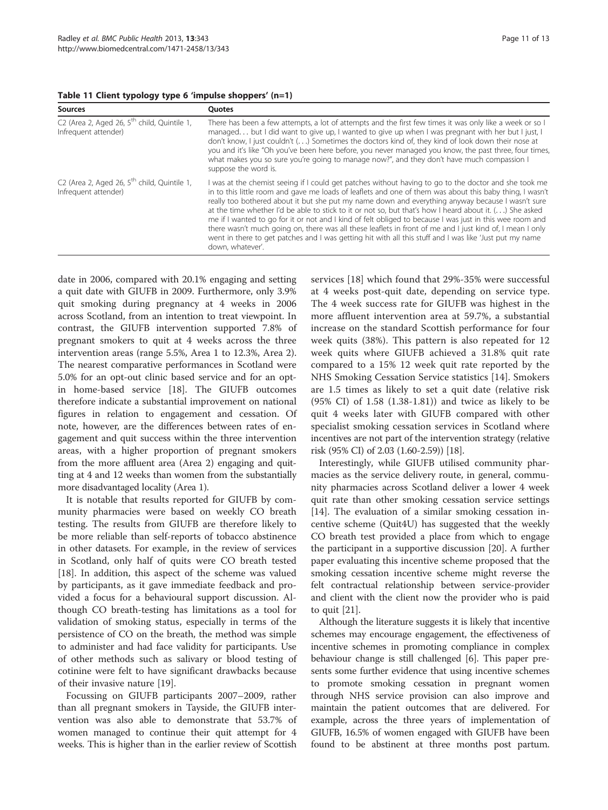<span id="page-10-0"></span>

|  |  |  |  |  | Table 11 Client typology type 6 'impulse shoppers' (n=1) |  |
|--|--|--|--|--|----------------------------------------------------------|--|
|--|--|--|--|--|----------------------------------------------------------|--|

| <b>Sources</b>                                                                              | <b>Ouotes</b>                                                                                                                                                                                                                                                                                                                                                                                                                                                                                                                                                                                                                                                                                                                                                                             |
|---------------------------------------------------------------------------------------------|-------------------------------------------------------------------------------------------------------------------------------------------------------------------------------------------------------------------------------------------------------------------------------------------------------------------------------------------------------------------------------------------------------------------------------------------------------------------------------------------------------------------------------------------------------------------------------------------------------------------------------------------------------------------------------------------------------------------------------------------------------------------------------------------|
| C <sub>2</sub> (Area 2, Aged 26, 5 <sup>th</sup> child, Quintile 1,<br>Infrequent attender) | There has been a few attempts, a lot of attempts and the first few times it was only like a week or so I<br>managed but I did want to give up, I wanted to give up when I was pregnant with her but I just, I<br>don't know, I just couldn't () Sometimes the doctors kind of, they kind of look down their nose at<br>you and it's like "Oh you've been here before, you never managed you know, the past three, four times,<br>what makes you so sure you're going to manage now?", and they don't have much compassion I<br>suppose the word is.                                                                                                                                                                                                                                       |
| C2 (Area 2, Aged 26, 5 <sup>th</sup> child, Quintile 1,<br>Infrequent attender)             | I was at the chemist seeing if I could get patches without having to go to the doctor and she took me<br>in to this little room and gave me loads of leaflets and one of them was about this baby thing, I wasn't<br>really too bothered about it but she put my name down and everything anyway because I wasn't sure<br>at the time whether I'd be able to stick to it or not so, but that's how I heard about it. () She asked<br>me if I wanted to go for it or not and I kind of felt obliged to because I was just in this wee room and<br>there wasn't much going on, there was all these leaflets in front of me and I just kind of, I mean I only<br>went in there to get patches and I was getting hit with all this stuff and I was like 'Just put my name<br>down, whatever'. |

date in 2006, compared with 20.1% engaging and setting a quit date with GIUFB in 2009. Furthermore, only 3.9% quit smoking during pregnancy at 4 weeks in 2006 across Scotland, from an intention to treat viewpoint. In contrast, the GIUFB intervention supported 7.8% of pregnant smokers to quit at 4 weeks across the three intervention areas (range 5.5%, Area 1 to 12.3%, Area 2). The nearest comparative performances in Scotland were 5.0% for an opt-out clinic based service and for an optin home-based service [\[18](#page-12-0)]. The GIUFB outcomes therefore indicate a substantial improvement on national figures in relation to engagement and cessation. Of note, however, are the differences between rates of engagement and quit success within the three intervention areas, with a higher proportion of pregnant smokers from the more affluent area (Area 2) engaging and quitting at 4 and 12 weeks than women from the substantially more disadvantaged locality (Area 1).

It is notable that results reported for GIUFB by community pharmacies were based on weekly CO breath testing. The results from GIUFB are therefore likely to be more reliable than self-reports of tobacco abstinence in other datasets. For example, in the review of services in Scotland, only half of quits were CO breath tested [[18\]](#page-12-0). In addition, this aspect of the scheme was valued by participants, as it gave immediate feedback and provided a focus for a behavioural support discussion. Although CO breath-testing has limitations as a tool for validation of smoking status, especially in terms of the persistence of CO on the breath, the method was simple to administer and had face validity for participants. Use of other methods such as salivary or blood testing of cotinine were felt to have significant drawbacks because of their invasive nature [\[19](#page-12-0)].

Focussing on GIUFB participants 2007–2009, rather than all pregnant smokers in Tayside, the GIUFB intervention was also able to demonstrate that 53.7% of women managed to continue their quit attempt for 4 weeks. This is higher than in the earlier review of Scottish services [\[18](#page-12-0)] which found that 29%-35% were successful at 4 weeks post-quit date, depending on service type. The 4 week success rate for GIUFB was highest in the more affluent intervention area at 59.7%, a substantial increase on the standard Scottish performance for four week quits (38%). This pattern is also repeated for 12 week quits where GIUFB achieved a 31.8% quit rate compared to a 15% 12 week quit rate reported by the NHS Smoking Cessation Service statistics [[14\]](#page-12-0). Smokers are 1.5 times as likely to set a quit date (relative risk (95% CI) of 1.58 (1.38-1.81)) and twice as likely to be quit 4 weeks later with GIUFB compared with other specialist smoking cessation services in Scotland where incentives are not part of the intervention strategy (relative risk (95% CI) of 2.03 (1.60-2.59)) [\[18\]](#page-12-0).

Interestingly, while GIUFB utilised community pharmacies as the service delivery route, in general, community pharmacies across Scotland deliver a lower 4 week quit rate than other smoking cessation service settings [[14\]](#page-12-0). The evaluation of a similar smoking cessation incentive scheme (Quit4U) has suggested that the weekly CO breath test provided a place from which to engage the participant in a supportive discussion [[20](#page-12-0)]. A further paper evaluating this incentive scheme proposed that the smoking cessation incentive scheme might reverse the felt contractual relationship between service-provider and client with the client now the provider who is paid to quit [\[21](#page-12-0)].

Although the literature suggests it is likely that incentive schemes may encourage engagement, the effectiveness of incentive schemes in promoting compliance in complex behaviour change is still challenged [\[6](#page-12-0)]. This paper presents some further evidence that using incentive schemes to promote smoking cessation in pregnant women through NHS service provision can also improve and maintain the patient outcomes that are delivered. For example, across the three years of implementation of GIUFB, 16.5% of women engaged with GIUFB have been found to be abstinent at three months post partum.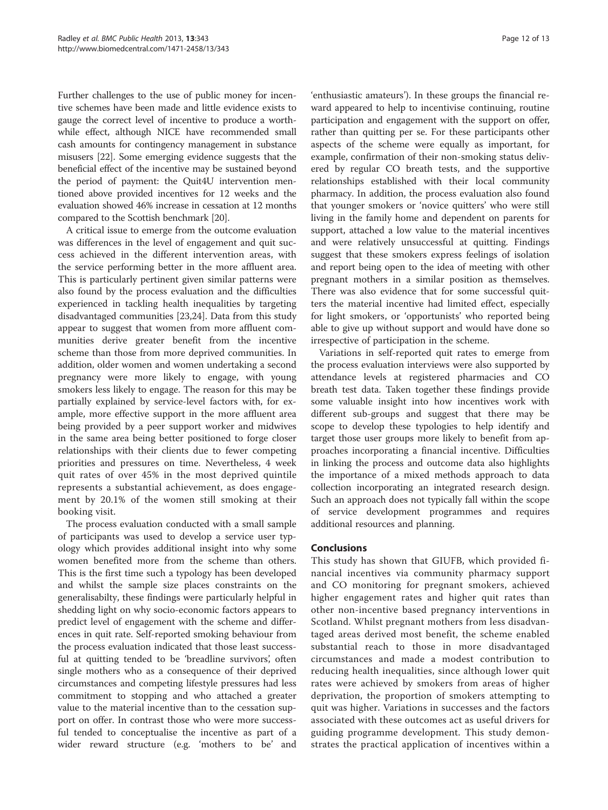Further challenges to the use of public money for incentive schemes have been made and little evidence exists to gauge the correct level of incentive to produce a worthwhile effect, although NICE have recommended small cash amounts for contingency management in substance misusers [\[22\]](#page-12-0). Some emerging evidence suggests that the beneficial effect of the incentive may be sustained beyond the period of payment: the Quit4U intervention mentioned above provided incentives for 12 weeks and the evaluation showed 46% increase in cessation at 12 months compared to the Scottish benchmark [\[20\]](#page-12-0).

A critical issue to emerge from the outcome evaluation was differences in the level of engagement and quit success achieved in the different intervention areas, with the service performing better in the more affluent area. This is particularly pertinent given similar patterns were also found by the process evaluation and the difficulties experienced in tackling health inequalities by targeting disadvantaged communities [\[23,24\]](#page-12-0). Data from this study appear to suggest that women from more affluent communities derive greater benefit from the incentive scheme than those from more deprived communities. In addition, older women and women undertaking a second pregnancy were more likely to engage, with young smokers less likely to engage. The reason for this may be partially explained by service-level factors with, for example, more effective support in the more affluent area being provided by a peer support worker and midwives in the same area being better positioned to forge closer relationships with their clients due to fewer competing priorities and pressures on time. Nevertheless, 4 week quit rates of over 45% in the most deprived quintile represents a substantial achievement, as does engagement by 20.1% of the women still smoking at their booking visit.

The process evaluation conducted with a small sample of participants was used to develop a service user typology which provides additional insight into why some women benefited more from the scheme than others. This is the first time such a typology has been developed and whilst the sample size places constraints on the generalisabilty, these findings were particularly helpful in shedding light on why socio-economic factors appears to predict level of engagement with the scheme and differences in quit rate. Self-reported smoking behaviour from the process evaluation indicated that those least successful at quitting tended to be 'breadline survivors', often single mothers who as a consequence of their deprived circumstances and competing lifestyle pressures had less commitment to stopping and who attached a greater value to the material incentive than to the cessation support on offer. In contrast those who were more successful tended to conceptualise the incentive as part of a wider reward structure (e.g. 'mothers to be' and

'enthusiastic amateurs'). In these groups the financial reward appeared to help to incentivise continuing, routine participation and engagement with the support on offer, rather than quitting per se. For these participants other aspects of the scheme were equally as important, for example, confirmation of their non-smoking status delivered by regular CO breath tests, and the supportive relationships established with their local community pharmacy. In addition, the process evaluation also found that younger smokers or 'novice quitters' who were still living in the family home and dependent on parents for support, attached a low value to the material incentives and were relatively unsuccessful at quitting. Findings suggest that these smokers express feelings of isolation and report being open to the idea of meeting with other pregnant mothers in a similar position as themselves. There was also evidence that for some successful quitters the material incentive had limited effect, especially for light smokers, or 'opportunists' who reported being able to give up without support and would have done so irrespective of participation in the scheme.

Variations in self-reported quit rates to emerge from the process evaluation interviews were also supported by attendance levels at registered pharmacies and CO breath test data. Taken together these findings provide some valuable insight into how incentives work with different sub-groups and suggest that there may be scope to develop these typologies to help identify and target those user groups more likely to benefit from approaches incorporating a financial incentive. Difficulties in linking the process and outcome data also highlights the importance of a mixed methods approach to data collection incorporating an integrated research design. Such an approach does not typically fall within the scope of service development programmes and requires additional resources and planning.

### Conclusions

This study has shown that GIUFB, which provided financial incentives via community pharmacy support and CO monitoring for pregnant smokers, achieved higher engagement rates and higher quit rates than other non-incentive based pregnancy interventions in Scotland. Whilst pregnant mothers from less disadvantaged areas derived most benefit, the scheme enabled substantial reach to those in more disadvantaged circumstances and made a modest contribution to reducing health inequalities, since although lower quit rates were achieved by smokers from areas of higher deprivation, the proportion of smokers attempting to quit was higher. Variations in successes and the factors associated with these outcomes act as useful drivers for guiding programme development. This study demonstrates the practical application of incentives within a